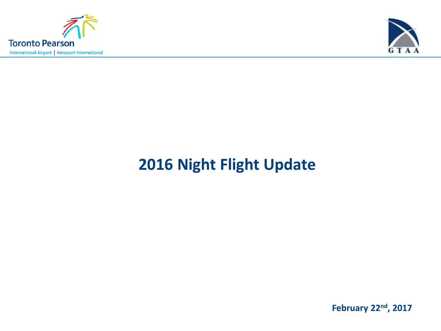



# **2016 Night Flight Update**

**February 22nd, 2017**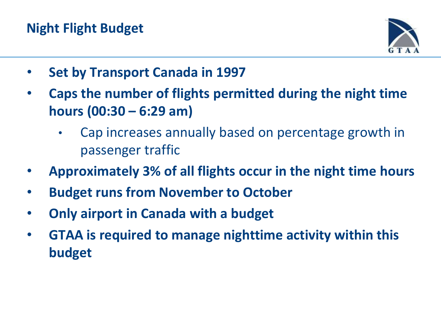## **Night Flight Budget**



- **Set by Transport Canada in 1997**
- **Caps the number of flights permitted during the night time hours (00:30 – 6:29 am)**
	- Cap increases annually based on percentage growth in passenger traffic
- **Approximately 3% of all flights occur in the night time hours**
- **Budget runs from November to October**
- **Only airport in Canada with a budget**
- **GTAA is required to manage nighttime activity within this budget**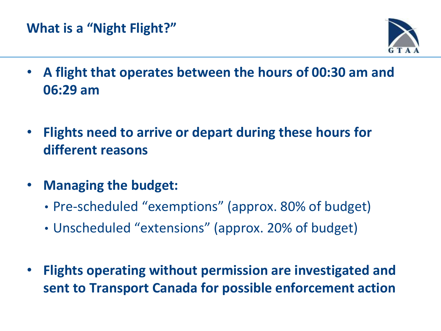#### **What is a "Night Flight?"**



- **A flight that operates between the hours of 00:30 am and 06:29 am**
- **Flights need to arrive or depart during these hours for different reasons**
- **Managing the budget:** 
	- Pre-scheduled "exemptions" (approx. 80% of budget)
	- Unscheduled "extensions" (approx. 20% of budget)
- **Flights operating without permission are investigated and sent to Transport Canada for possible enforcement action**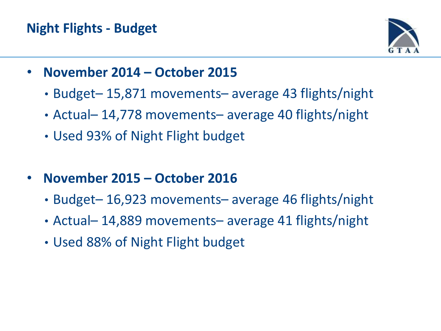### **Night Flights - Budget**



- **November 2014 – October 2015**
	- Budget– 15,871 movements– average 43 flights/night
	- Actual– 14,778 movements– average 40 flights/night
	- Used 93% of Night Flight budget
- **November 2015 – October 2016**
	- Budget– 16,923 movements– average 46 flights/night
	- Actual– 14,889 movements– average 41 flights/night
	- Used 88% of Night Flight budget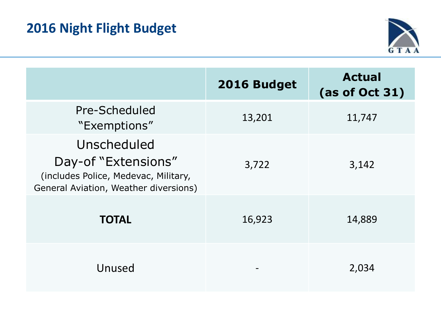

|                                                                                                                     | 2016 Budget | <b>Actual</b><br>(as of Oct 31) |
|---------------------------------------------------------------------------------------------------------------------|-------------|---------------------------------|
| Pre-Scheduled<br>"Exemptions"                                                                                       | 13,201      | 11,747                          |
| Unscheduled<br>Day-of "Extensions"<br>(includes Police, Medevac, Military,<br>General Aviation, Weather diversions) | 3,722       | 3,142                           |
| <b>TOTAL</b>                                                                                                        | 16,923      | 14,889                          |
| Unused                                                                                                              |             | 2,034                           |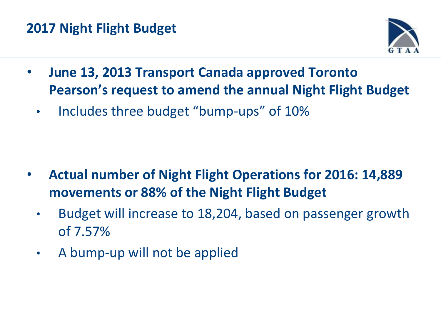#### **2017 Night Flight Budget**



- **June 13, 2013 Transport Canada approved Toronto Pearson's request to amend the annual Night Flight Budget** 
	- Includes three budget "bump-ups" of 10%

- **Actual number of Night Flight Operations for 2016: 14,889 movements or 88% of the Night Flight Budget**
	- Budget will increase to 18,204, based on passenger growth of 7.57%
	- A bump-up will not be applied